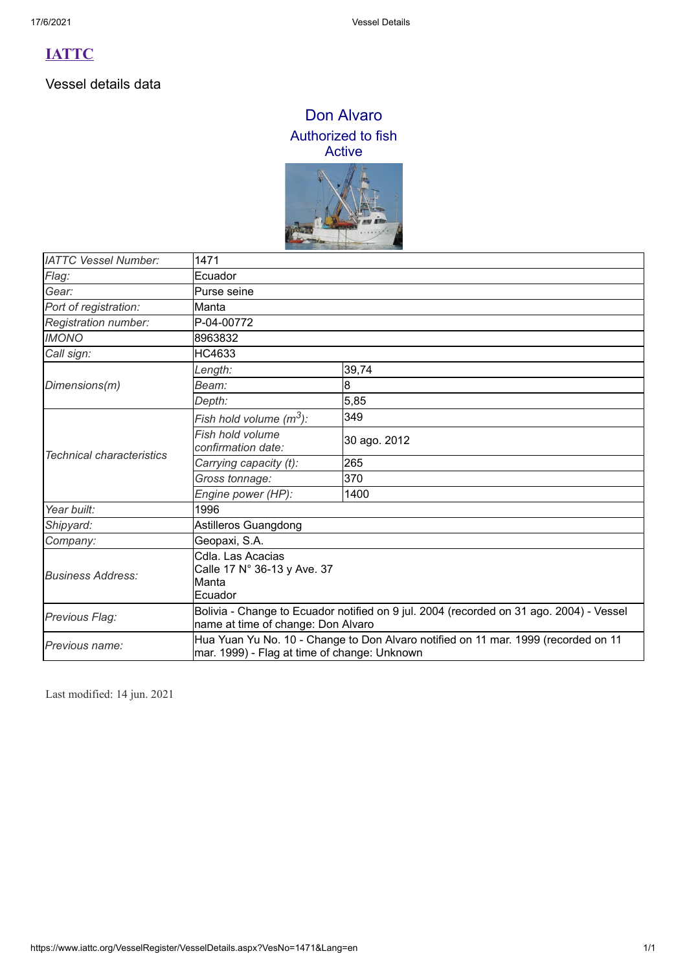Vessel details data

### Don Alvaro Authorized to fish Active



| <b>IATTC Vessel Number:</b>      | 1471                                                                                                                               |              |  |
|----------------------------------|------------------------------------------------------------------------------------------------------------------------------------|--------------|--|
| Flag:                            | Ecuador                                                                                                                            |              |  |
| Gear:                            | Purse seine                                                                                                                        |              |  |
| Port of registration:            | Manta                                                                                                                              |              |  |
| Registration number:             | P-04-00772                                                                                                                         |              |  |
| <b>IMONO</b>                     | 8963832                                                                                                                            |              |  |
| Call sign:                       | HC4633                                                                                                                             |              |  |
| Dimensions(m)                    | Length:                                                                                                                            | 39,74        |  |
|                                  | Beam:                                                                                                                              | 8            |  |
|                                  | Depth:                                                                                                                             | 5,85         |  |
|                                  | Fish hold volume (m <sup>3</sup> ):                                                                                                | 349          |  |
|                                  | Fish hold volume<br>confirmation date:                                                                                             | 30 ago. 2012 |  |
| <b>Technical characteristics</b> | Carrying capacity (t):                                                                                                             | 265          |  |
|                                  | Gross tonnage:                                                                                                                     | 370          |  |
|                                  | Engine power (HP):                                                                                                                 | 1400         |  |
| Year built:                      | 1996                                                                                                                               |              |  |
| Shipyard:                        | Astilleros Guangdong                                                                                                               |              |  |
| Company:                         | Geopaxi, S.A.                                                                                                                      |              |  |
| <b>Business Address:</b>         | Cdla. Las Acacias<br>Calle 17 N° 36-13 y Ave. 37<br>Manta<br>Ecuador                                                               |              |  |
| Previous Flag:                   | Bolivia - Change to Ecuador notified on 9 jul. 2004 (recorded on 31 ago. 2004) - Vessel<br>name at time of change: Don Alvaro      |              |  |
| Previous name:                   | Hua Yuan Yu No. 10 - Change to Don Alvaro notified on 11 mar. 1999 (recorded on 11<br>mar. 1999) - Flag at time of change: Unknown |              |  |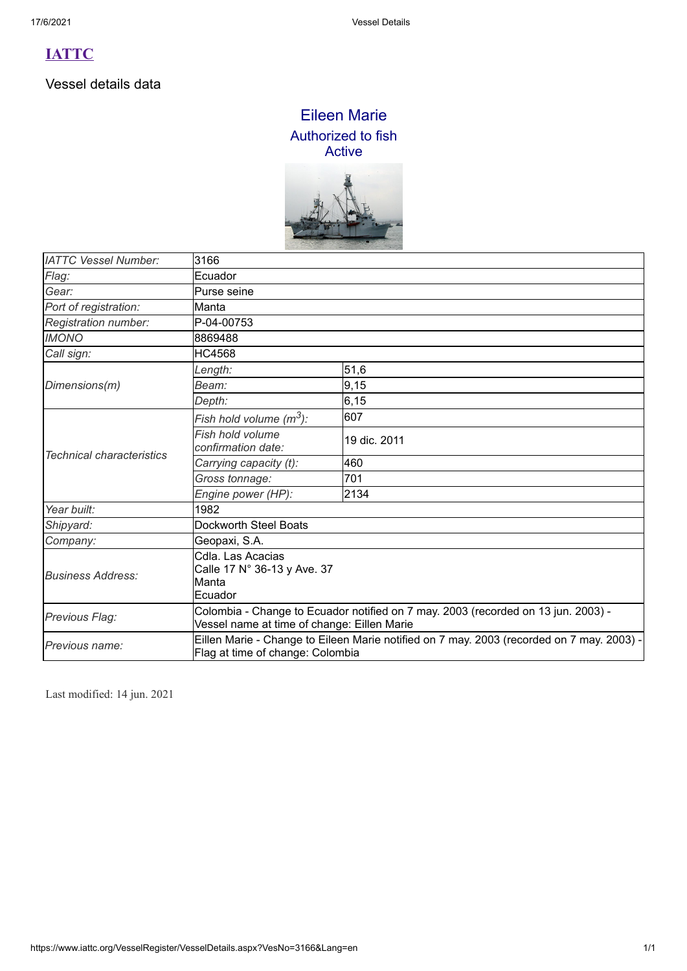Vessel details data

### Eileen Marie Authorized to fish Active



| <b>IATTC Vessel Number:</b>      | 3166                                                                                                                             |              |  |
|----------------------------------|----------------------------------------------------------------------------------------------------------------------------------|--------------|--|
| Flag:                            | Ecuador                                                                                                                          |              |  |
| Gear:                            | Purse seine                                                                                                                      |              |  |
| Port of registration:            | Manta                                                                                                                            |              |  |
| Registration number:             | P-04-00753                                                                                                                       |              |  |
| <b>IMONO</b>                     | 8869488                                                                                                                          |              |  |
| Call sign:                       | <b>HC4568</b>                                                                                                                    |              |  |
| Dimensions(m)                    | Length:                                                                                                                          | 51,6         |  |
|                                  | Beam:                                                                                                                            | 9,15         |  |
|                                  | Depth:                                                                                                                           | 6, 15        |  |
|                                  | Fish hold volume $(m^3)$ :                                                                                                       | 607          |  |
|                                  | Fish hold volume<br>confirmation date:                                                                                           | 19 dic. 2011 |  |
| <b>Technical characteristics</b> | Carrying capacity (t):                                                                                                           | 460          |  |
|                                  | Gross tonnage:                                                                                                                   | 701          |  |
|                                  | Engine power (HP):                                                                                                               | 2134         |  |
| Year built:                      | 1982                                                                                                                             |              |  |
| Shipyard:                        | Dockworth Steel Boats                                                                                                            |              |  |
| Company:                         | Geopaxi, S.A.                                                                                                                    |              |  |
| <b>Business Address:</b>         | Cdla. Las Acacias<br>Calle 17 N° 36-13 y Ave. 37<br>Manta<br>Ecuador                                                             |              |  |
| Previous Flag:                   | Colombia - Change to Ecuador notified on 7 may. 2003 (recorded on 13 jun. 2003) -<br>Vessel name at time of change: Eillen Marie |              |  |
| Previous name:                   | Eillen Marie - Change to Eileen Marie notified on 7 may. 2003 (recorded on 7 may. 2003) -<br>Flag at time of change: Colombia    |              |  |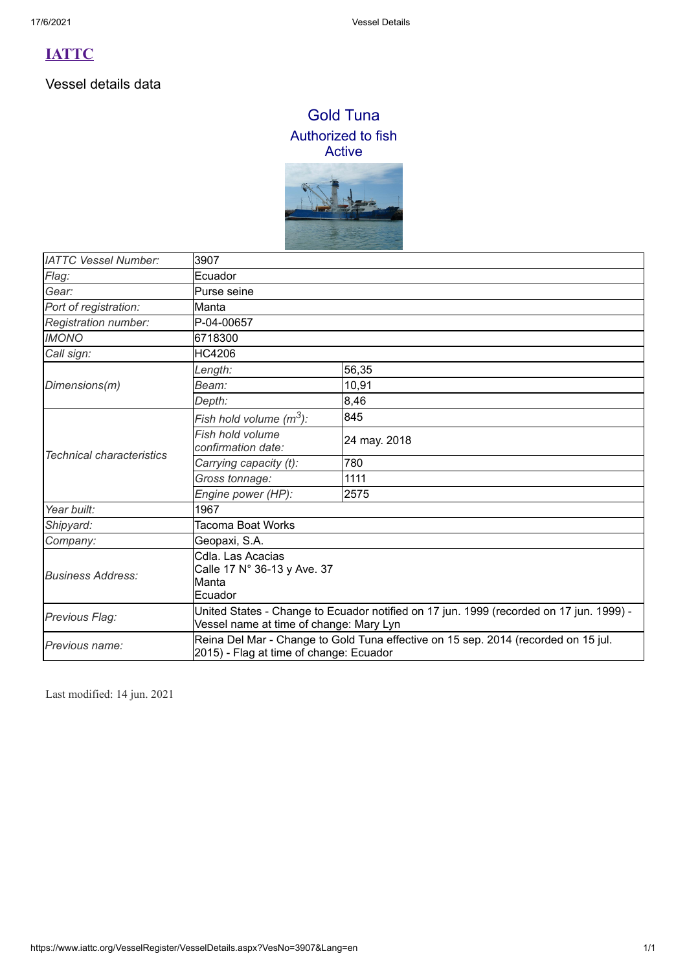Vessel details data

## Gold Tuna Authorized to fish Active



| <b>IATTC Vessel Number:</b>      | 3907                                                                                                                               |              |  |
|----------------------------------|------------------------------------------------------------------------------------------------------------------------------------|--------------|--|
| Flag:                            | Ecuador                                                                                                                            |              |  |
| Gear:                            | Purse seine                                                                                                                        |              |  |
| Port of registration:            | Manta                                                                                                                              |              |  |
| Registration number:             | P-04-00657                                                                                                                         |              |  |
| <b>IMONO</b>                     | 6718300                                                                                                                            |              |  |
| Call sign:                       | HC4206                                                                                                                             |              |  |
| Dimensions(m)                    | Length:                                                                                                                            | 56,35        |  |
|                                  | Beam:                                                                                                                              | 10,91        |  |
|                                  | Depth:                                                                                                                             | 8,46         |  |
| <b>Technical characteristics</b> | Fish hold volume $(m^3)$ :                                                                                                         | 845          |  |
|                                  | Fish hold volume<br>confirmation date:                                                                                             | 24 may. 2018 |  |
|                                  | Carrying capacity (t):                                                                                                             | 780          |  |
|                                  | Gross tonnage:                                                                                                                     | 1111         |  |
|                                  | Engine power (HP):                                                                                                                 | 2575         |  |
| Year built:                      | 1967                                                                                                                               |              |  |
| Shipyard:                        | Tacoma Boat Works                                                                                                                  |              |  |
| Company:                         | Geopaxi, S.A.                                                                                                                      |              |  |
| <b>Business Address:</b>         | Cdla. Las Acacias<br>Calle 17 N° 36-13 y Ave. 37<br>Manta<br>Ecuador                                                               |              |  |
| Previous Flag:                   | United States - Change to Ecuador notified on 17 jun. 1999 (recorded on 17 jun. 1999) -<br>Vessel name at time of change: Mary Lyn |              |  |
| Previous name:                   | Reina Del Mar - Change to Gold Tuna effective on 15 sep. 2014 (recorded on 15 jul.<br>2015) - Flag at time of change: Ecuador      |              |  |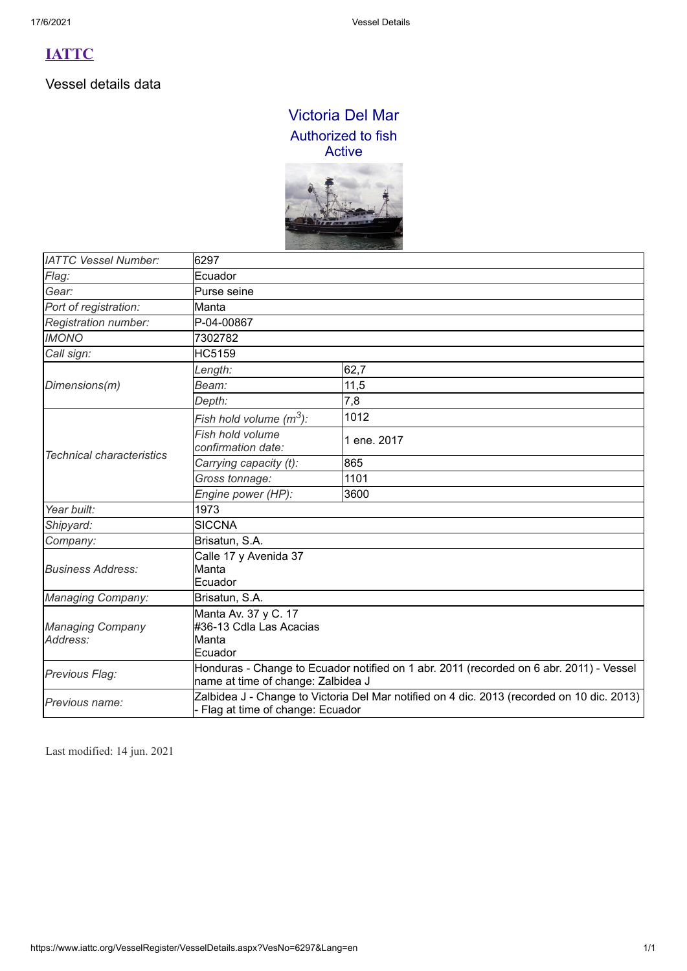Vessel details data

# Victoria Del Mar Authorized to fish Active



| <b>IATTC Vessel Number:</b>         | 6297                                                                                                                          |             |
|-------------------------------------|-------------------------------------------------------------------------------------------------------------------------------|-------------|
| Flag:                               | Ecuador                                                                                                                       |             |
| Gear:                               | Purse seine                                                                                                                   |             |
| Port of registration:               | Manta                                                                                                                         |             |
| Registration number:                | P-04-00867                                                                                                                    |             |
| <b>IMONO</b>                        | 7302782                                                                                                                       |             |
| Call sign:                          | <b>HC5159</b>                                                                                                                 |             |
|                                     | Length:                                                                                                                       | 62,7        |
| Dimensions(m)                       | Beam:                                                                                                                         | 11,5        |
|                                     | Depth:                                                                                                                        | 7,8         |
|                                     | Fish hold volume $(m^3)$ :                                                                                                    | 1012        |
|                                     | Fish hold volume<br>confirmation date:                                                                                        | 1 ene. 2017 |
| <b>Technical characteristics</b>    | Carrying capacity (t):                                                                                                        | 865         |
|                                     | Gross tonnage:                                                                                                                | 1101        |
|                                     | Engine power (HP):                                                                                                            | 3600        |
| Year built:                         | 1973                                                                                                                          |             |
| Shipyard:                           | <b>SICCNA</b>                                                                                                                 |             |
| Company:                            | Brisatun, S.A.                                                                                                                |             |
| <b>Business Address:</b>            | Calle 17 y Avenida 37<br>Manta<br>Ecuador                                                                                     |             |
| <b>Managing Company:</b>            | Brisatun, S.A.                                                                                                                |             |
| <b>Managing Company</b><br>Address: | Manta Av. 37 y C. 17<br>#36-13 Cdla Las Acacias<br>Manta<br>Ecuador                                                           |             |
| Previous Flag:                      | Honduras - Change to Ecuador notified on 1 abr. 2011 (recorded on 6 abr. 2011) - Vessel<br>name at time of change: Zalbidea J |             |
| Previous name:                      | Zalbidea J - Change to Victoria Del Mar notified on 4 dic. 2013 (recorded on 10 dic. 2013)<br>Flag at time of change: Ecuador |             |